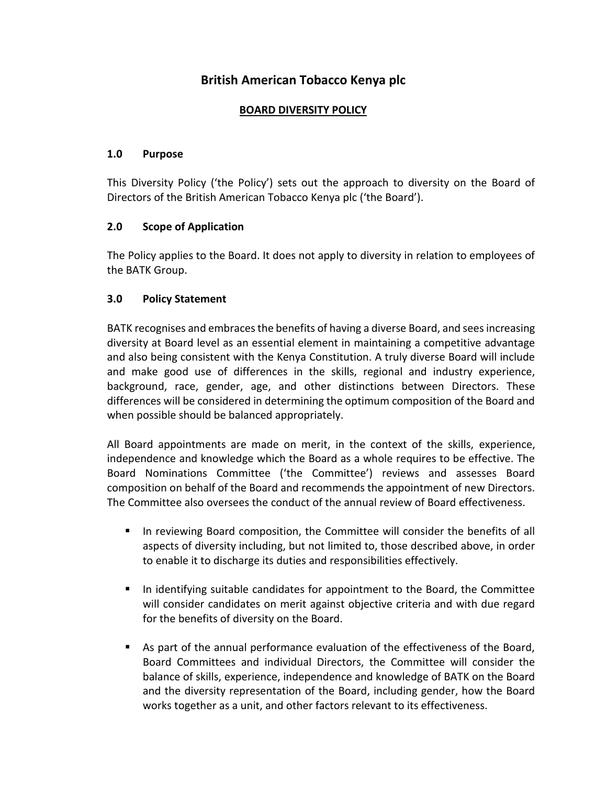# **British American Tobacco Kenya plc**

#### **BOARD DIVERSITY POLICY**

#### **1.0 Purpose**

This Diversity Policy ('the Policy') sets out the approach to diversity on the Board of Directors of the British American Tobacco Kenya plc ('the Board').

#### **2.0 Scope of Application**

The Policy applies to the Board. It does not apply to diversity in relation to employees of the BATK Group.

#### **3.0 Policy Statement**

BATK recognises and embraces the benefits of having a diverse Board, and sees increasing diversity at Board level as an essential element in maintaining a competitive advantage and also being consistent with the Kenya Constitution. A truly diverse Board will include and make good use of differences in the skills, regional and industry experience, background, race, gender, age, and other distinctions between Directors. These differences will be considered in determining the optimum composition of the Board and when possible should be balanced appropriately.

All Board appointments are made on merit, in the context of the skills, experience, independence and knowledge which the Board as a whole requires to be effective. The Board Nominations Committee ('the Committee') reviews and assesses Board composition on behalf of the Board and recommends the appointment of new Directors. The Committee also oversees the conduct of the annual review of Board effectiveness.

- **■** In reviewing Board composition, the Committee will consider the benefits of all aspects of diversity including, but not limited to, those described above, in order to enable it to discharge its duties and responsibilities effectively.
- In identifying suitable candidates for appointment to the Board, the Committee will consider candidates on merit against objective criteria and with due regard for the benefits of diversity on the Board.
- As part of the annual performance evaluation of the effectiveness of the Board, Board Committees and individual Directors, the Committee will consider the balance of skills, experience, independence and knowledge of BATK on the Board and the diversity representation of the Board, including gender, how the Board works together as a unit, and other factors relevant to its effectiveness.